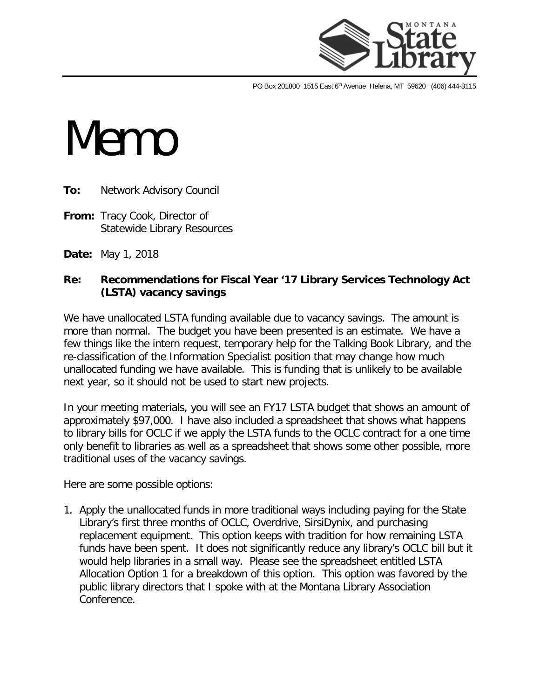

PO Box 201800 1515 East 6<sup>th</sup> Avenue Helena, MT 59620 (406) 444-3115

## **Memo**

**To:** Network Advisory Council

- **From:** Tracy Cook, Director of Statewide Library Resources
- **Date:** May 1, 2018

## **Re: Recommendations for Fiscal Year '17 Library Services Technology Act (LSTA) vacancy savings**

We have unallocated LSTA funding available due to vacancy savings. The amount is more than normal. The budget you have been presented is an estimate. We have a few things like the intern request, temporary help for the Talking Book Library, and the re-classification of the Information Specialist position that may change how much unallocated funding we have available. This is funding that is unlikely to be available next year, so it should not be used to start new projects.

In your meeting materials, you will see an FY17 LSTA budget that shows an amount of approximately \$97,000. I have also included a spreadsheet that shows what happens to library bills for OCLC if we apply the LSTA funds to the OCLC contract for a one time only benefit to libraries as well as a spreadsheet that shows some other possible, more traditional uses of the vacancy savings.

Here are some possible options:

1. Apply the unallocated funds in more traditional ways including paying for the State Library's first three months of OCLC, Overdrive, SirsiDynix, and purchasing replacement equipment. This option keeps with tradition for how remaining LSTA funds have been spent. It does not significantly reduce any library's OCLC bill but it would help libraries in a small way. Please see the spreadsheet entitled LSTA Allocation Option 1 for a breakdown of this option. This option was favored by the public library directors that I spoke with at the Montana Library Association Conference.